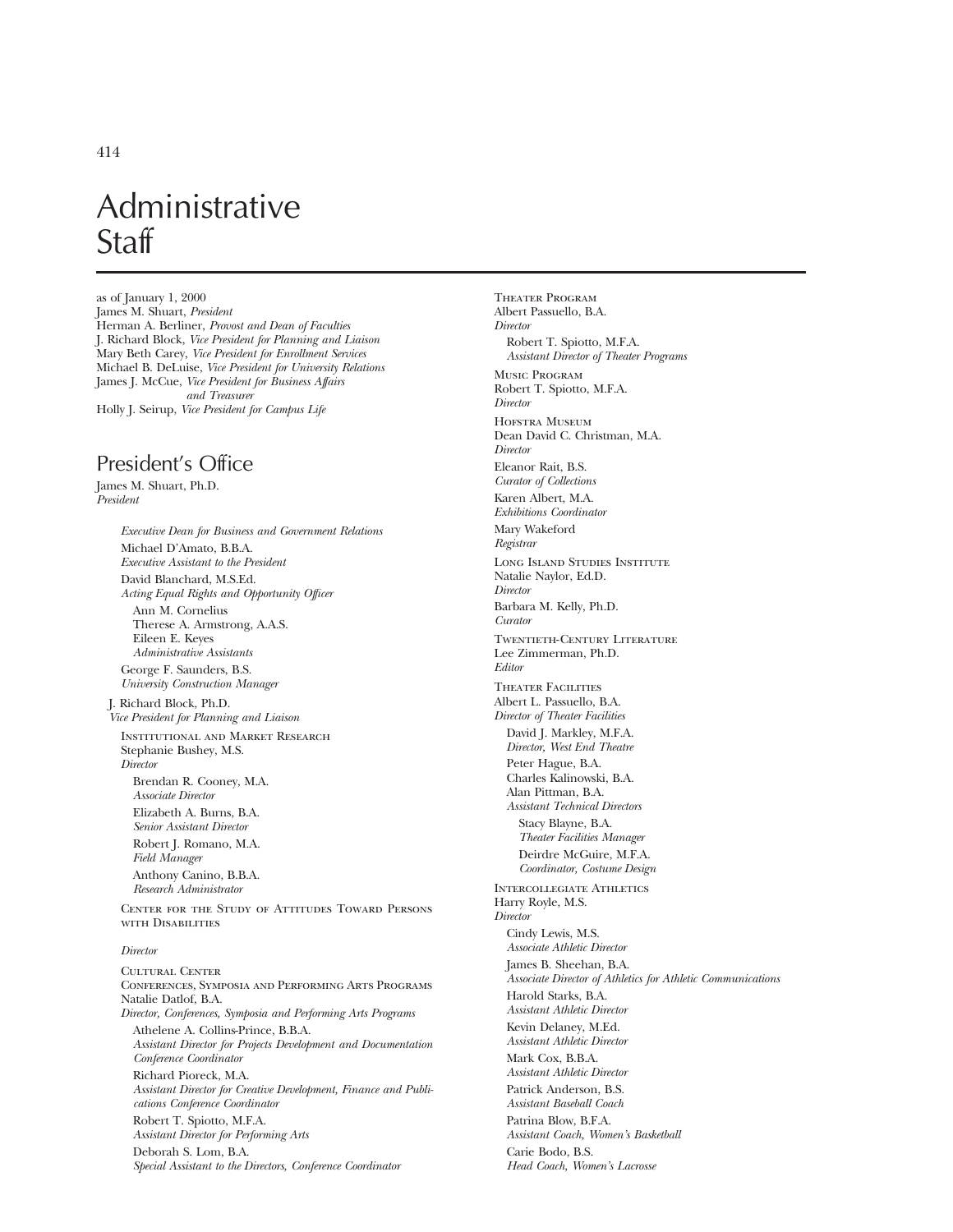# Administrative **Staff**

as of January 1, 2000 James M. Shuart, *President* Herman A. Berliner, *Provost and Dean of Faculties* J. Richard Block, *Vice President for Planning and Liaison* Mary Beth Carey, *Vice President for Enrollment Services* Michael B. DeLuise, *Vice President for University Relations* James J. McCue, *Vice President for Business Affairs and Treasurer* Holly J. Seirup, *Vice President for Campus Life*

## President's Office

James M. Shuart, Ph.D. *President*

*Executive Dean for Business and Government Relations* Michael D'Amato, B.B.A. *Executive Assistant to the President* David Blanchard, M.S.Ed. *Acting Equal Rights and Opportunity Officer* Ann M. Cornelius Therese A. Armstrong, A.A.S. Eileen E. Keyes *Administrative Assistants* George F. Saunders, B.S. *University Construction Manager* J. Richard Block, Ph.D. *Vice President for Planning and Liaison* Institutional and Market Research Stephanie Bushey, M.S. *Director* Brendan R. Cooney, M.A. *Associate Director* Elizabeth A. Burns, B.A. *Senior Assistant Director* Robert J. Romano, M.A. *Field Manager* Anthony Canino, B.B.A. *Research Administrator* Center for the Study of Attitudes Toward Persons with Disabilities *Director* CHLTURAL CENTER Conferences, Symposia and Performing Arts Programs Natalie Datlof, B.A. *Director, Conferences, Symposia and Performing Arts Programs* Athelene A. Collins-Prince, B.B.A. *Assistant Director for Projects Development and Documentation*

*Conference Coordinator* Richard Pioreck, M.A. *Assistant Director for Creative Development, Finance and Publications Conference Coordinator* Robert T. Spiotto, M.F.A.

*Assistant Director for Performing Arts* Deborah S. Lom, B.A. *Special Assistant to the Directors, Conference Coordinator* THEATER PROCRAM Albert Passuello, B.A. *Director* Robert T. Spiotto, M.F.A. *Assistant Director of Theater Programs* Music Program Robert T. Spiotto, M.F.A. *Director* Hofstra Museum Dean David C. Christman, M.A. *Director* Eleanor Rait, B.S. *Curator of Collections* Karen Albert, M.A. *Exhibitions Coordinator* Mary Wakeford *Registrar* Long Island Studies Institute Natalie Naylor, Ed.D. *Director* Barbara M. Kelly, Ph.D. *Curator* Twentieth-Century Literature Lee Zimmerman, Ph.D. *Editor* Theater Facilities Albert L. Passuello, B.A. *Director of Theater Facilities* David J. Markley, M.F.A. *Director, West End Theatre* Peter Hague, B.A. Charles Kalinowski, B.A. Alan Pittman, B.A. *Assistant Technical Directors* Stacy Blayne, B.A. *Theater Facilities Manager* Deirdre McGuire, M.F.A. *Coordinator, Costume Design* Intercollegiate Athletics Harry Royle, M.S. *Director* Cindy Lewis, M.S. *Associate Athletic Director* James B. Sheehan, B.A. *Associate Director of Athletics for Athletic Communications* Harold Starks, B.A. *Assistant Athletic Director* Kevin Delaney, M.Ed. *Assistant Athletic Director* Mark Cox, B.B.A. *Assistant Athletic Director* Patrick Anderson, B.S. *Assistant Baseball Coach* Patrina Blow, B.F.A. *Assistant Coach, Women's Basketball* Carie Bodo, B.S. *Head Coach, Women's Lacrosse*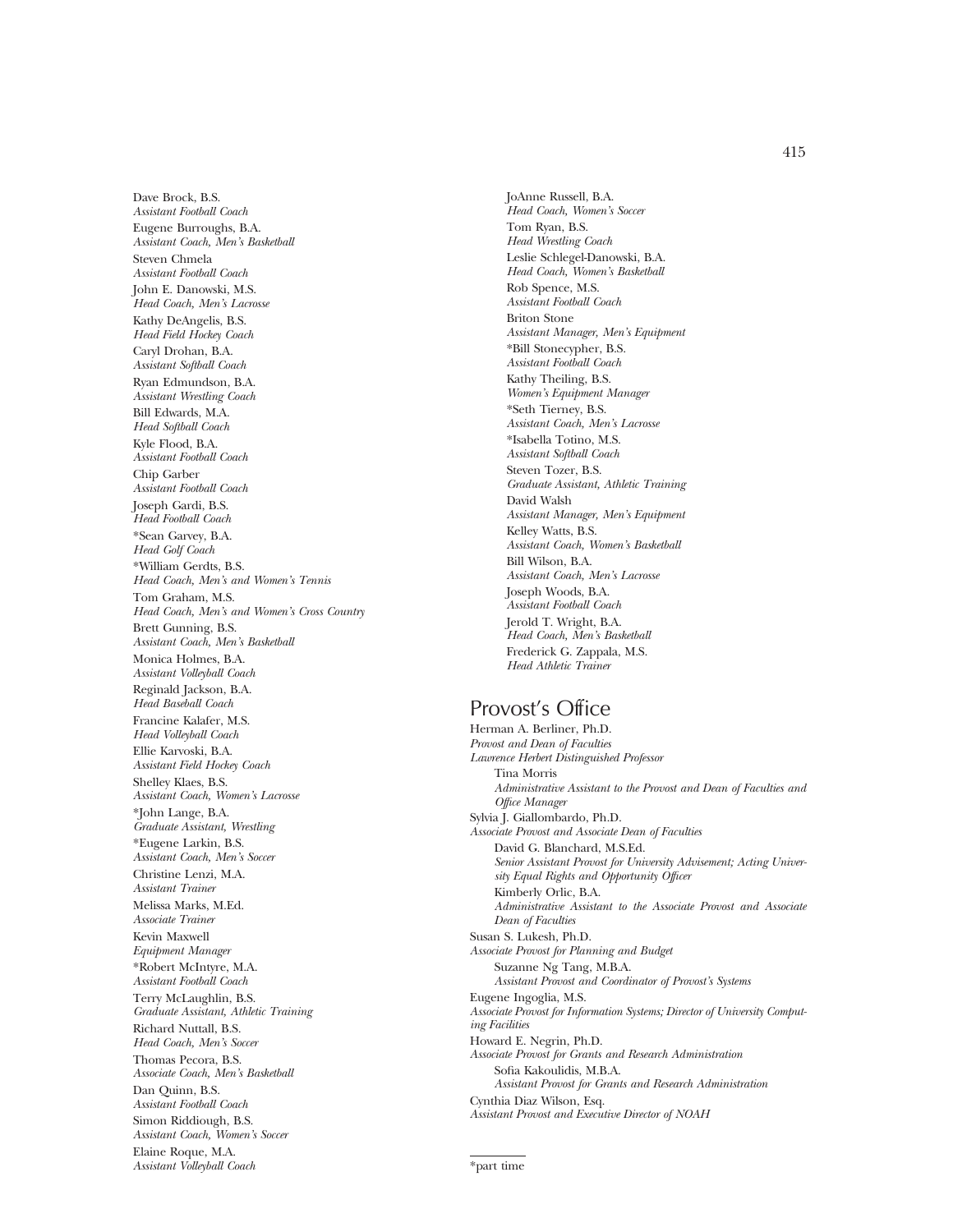415

Dave Brock, B.S. *Assistant Football Coach* Eugene Burroughs, B.A. *Assistant Coach, Men's Basketball* Steven Chmela *Assistant Football Coach* John E. Danowski, M.S. *Head Coach, Men's Lacrosse* Kathy DeAngelis, B.S. *Head Field Hockey Coach* Caryl Drohan, B.A. *Assistant Softball Coach* Ryan Edmundson, B.A. *Assistant Wrestling Coach* Bill Edwards, M.A. *Head Softball Coach* Kyle Flood, B.A. *Assistant Football Coach* Chip Garber *Assistant Football Coach* Joseph Gardi, B.S. *Head Football Coach* \*Sean Garvey, B.A. *Head Golf Coach* \*William Gerdts, B.S. *Head Coach, Men's and Women's Tennis* Tom Graham, M.S. *Head Coach, Men's and Women's Cross Country* Brett Gunning, B.S. *Assistant Coach, Men's Basketball* Monica Holmes, B.A. *Assistant Volleyball Coach* Reginald Jackson, B.A. *Head Baseball Coach* Francine Kalafer, M.S. *Head Volleyball Coach* Ellie Karvoski, B.A. *Assistant Field Hockey Coach* Shelley Klaes, B.S. *Assistant Coach, Women's Lacrosse* \*John Lange, B.A. *Graduate Assistant, Wrestling* \*Eugene Larkin, B.S. *Assistant Coach, Men's Soccer* Christine Lenzi, M.A. *Assistant Trainer* Melissa Marks, M.Ed. *Associate Trainer* Kevin Maxwell *Equipment Manager* \*Robert McIntyre, M.A. *Assistant Football Coach* Terry McLaughlin, B.S. *Graduate Assistant, Athletic Training* Richard Nuttall, B.S. *Head Coach, Men's Soccer* Thomas Pecora, B.S. *Associate Coach, Men's Basketball* Dan Quinn, B.S. *Assistant Football Coach* Simon Riddiough, B.S. *Assistant Coach, Women's Soccer* Elaine Roque, M.A. *Assistant Volleyball Coach*

JoAnne Russell, B.A. *Head Coach, Women's Soccer* Tom Ryan, B.S. *Head Wrestling Coach* Leslie Schlegel-Danowski, B.A. *Head Coach, Women's Basketball* Rob Spence, M.S. *Assistant Football Coach* Briton Stone *Assistant Manager, Men's Equipment* \*Bill Stonecypher, B.S. *Assistant Football Coach* Kathy Theiling, B.S. *Women's Equipment Manager* \*Seth Tierney, B.S. *Assistant Coach, Men's Lacrosse* \*Isabella Totino, M.S. *Assistant Softball Coach* Steven Tozer, B.S. *Graduate Assistant, Athletic Training* David Walsh *Assistant Manager, Men's Equipment* Kelley Watts, B.S. *Assistant Coach, Women's Basketball* Bill Wilson, B.A. *Assistant Coach, Men's Lacrosse* Joseph Woods, B.A. *Assistant Football Coach* Jerold T. Wright, B.A. *Head Coach, Men's Basketball* Frederick G. Zappala, M.S. *Head Athletic Trainer*

## Provost's Office

Herman A. Berliner, Ph.D. *Provost and Dean of Faculties Lawrence Herbert Distinguished Professor* Tina Morris *Administrative Assistant to the Provost and Dean of Faculties and Office Manager* Sylvia J. Giallombardo, Ph.D. *Associate Provost and Associate Dean of Faculties* David G. Blanchard, M.S.Ed. *Senior Assistant Provost for University Advisement; Acting University Equal Rights and Opportunity Officer* Kimberly Orlic, B.A. *Administrative Assistant to the Associate Provost and Associate Dean of Faculties* Susan S. Lukesh, Ph.D. *Associate Provost for Planning and Budget* Suzanne Ng Tang, M.B.A. *Assistant Provost and Coordinator of Provost's Systems* Eugene Ingoglia, M.S. *Associate Provost for Information Systems; Director of University Computing Facilities* Howard E. Negrin, Ph.D. *Associate Provost for Grants and Research Administration* Sofia Kakoulidis, M.B.A. *Assistant Provost for Grants and Research Administration* Cynthia Diaz Wilson, Esq. *Assistant Provost and Executive Director of NOAH*

<sup>\*</sup>part time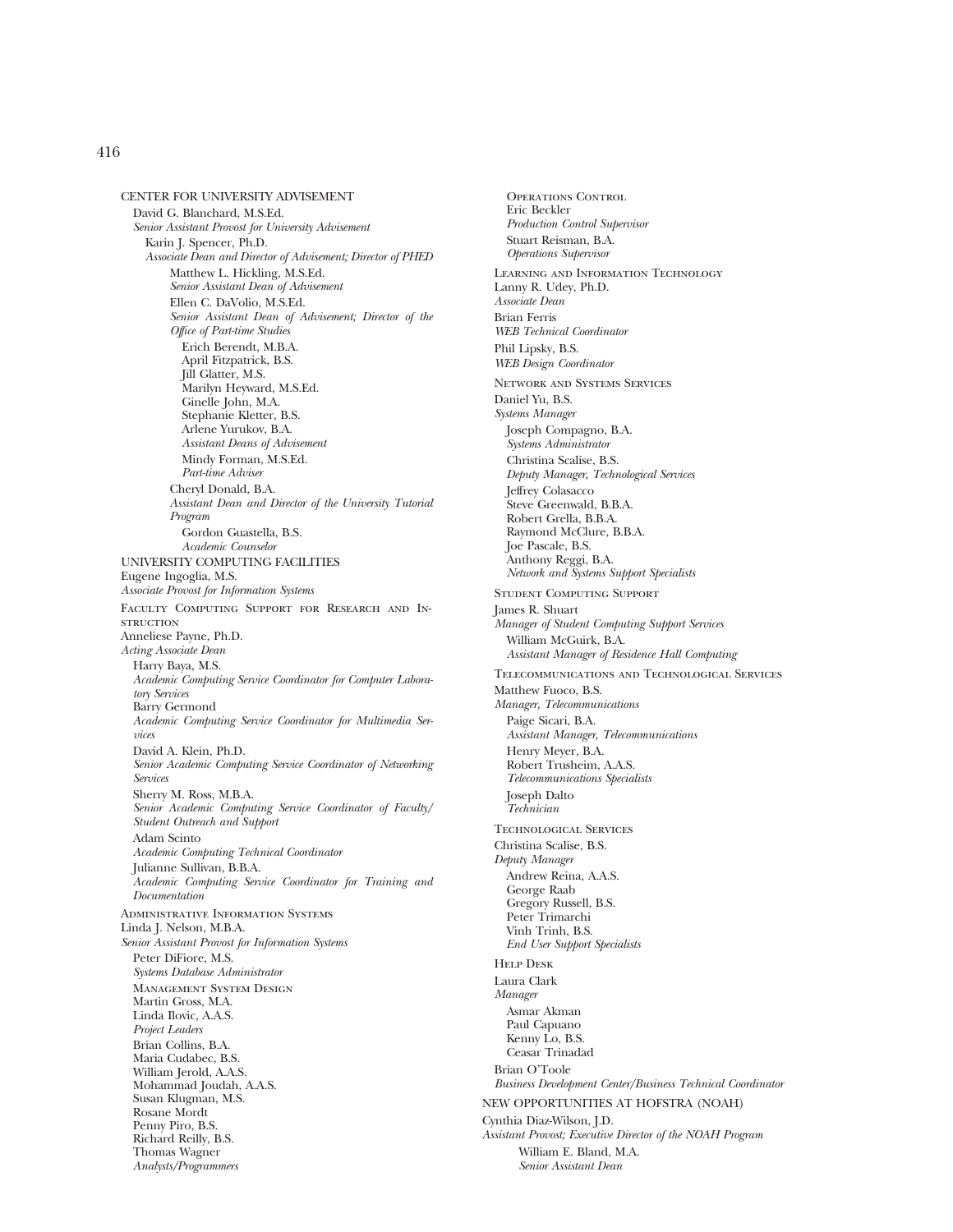CENTER FOR UNIVERSITY ADVISEMENT David G. Blanchard, M.S.Ed. *Senior Assistant Provost for University Advisement* Karin J. Spencer, Ph.D. *Associate Dean and Director of Advisement; Director of PHED* Matthew L. Hickling, M.S.Ed. *Senior Assistant Dean of Advisement* Ellen C. DaVolio, M.S.Ed. *Senior Assistant Dean of Advisement; Director of the Office of Part-time Studies* Erich Berendt, M.B.A. April Fitzpatrick, B.S. Jill Glatter, M.S. Marilyn Heyward, M.S.Ed. Ginelle John, M.A. Stephanie Kletter, B.S. Arlene Yurukov, B.A. *Assistant Deans of Advisement* Mindy Forman, M.S.Ed. *Part-time Adviser* Cheryl Donald, B.A. *Assistant Dean and Director of the University Tutorial Program* Gordon Guastella, B.S. *Academic Counselor* UNIVERSITY COMPUTING FACILITIES Eugene Ingoglia, M.S. *Associate Provost for Information Systems* Faculty Computing Support for Research and In-**STRUCTION** Anneliese Payne, Ph.D. *Acting Associate Dean* Harry Baya, M.S. *Academic Computing Service Coordinator for Computer Laboratory Services* Barry Germond *Academic Computing Service Coordinator for Multimedia Services* David A. Klein, Ph.D. *Senior Academic Computing Service Coordinator of Networking Services* Sherry M. Ross, M.B.A. *Senior Academic Computing Service Coordinator of Faculty/ Student Outreach and Support* Adam Scinto *Academic Computing Technical Coordinator* Julianne Sullivan, B.B.A. *Academic Computing Service Coordinator for Training and Documentation* Administrative Information Systems Linda J. Nelson, M.B.A. *Senior Assistant Provost for Information Systems* Peter DiFiore, M.S. *Systems Database Administrator* Management System Design Martin Gross, M.A. Linda Ilovic, A.A.S. *Project Leaders* Brian Collins, B.A. Maria Cudabec, B.S. William Jerold, A.A.S. Mohammad Joudah, A.A.S. Susan Klugman, M.S. Rosane Mordt Penny Piro, B.S. Richard Reilly, B.S. Thomas Wagner *Analysts/Programmers*

Operations Control Eric Beckler *Production Control Supervisor* Stuart Reisman, B.A. *Operations Supervisor* Learning and Information Technology Lanny R. Udey, Ph.D. *Associate Dean* Brian Ferris *WEB Technical Coordinator* Phil Lipsky, B.S. *WEB Design Coordinator* Network and Systems Services Daniel Yu, B.S. *Systems Manager* Joseph Compagno, B.A. *Systems Administrator* Christina Scalise, B.S. *Deputy Manager, Technological Services* Jeffrey Colasacco Steve Greenwald, B.B.A. Robert Grella, B.B.A. Raymond McClure, B.B.A. Joe Pascale, B.S. Anthony Reggi, B.A. *Network and Systems Support Specialists* Student Computing Support James R. Shuart *Manager of Student Computing Support Services* William McGuirk, B.A. *Assistant Manager of Residence Hall Computing* Telecommunications and Technological Services Matthew Fuoco, B.S. *Manager, Telecommunications* Paige Sicari, B.A. *Assistant Manager, Telecommunications* Henry Meyer, B.A. Robert Trusheim, A.A.S. *Telecommunications Specialists* Joseph Dalto *Technician* Technological Services Christina Scalise, B.S. *Deputy Manager* Andrew Reina, A.A.S. George Raab Gregory Russell, B.S. Peter Trimarchi Vinh Trinh, B.S. *End User Support Specialists* Help Desk Laura Clark *Manager* Asmar Akman Paul Capuano Kenny Lo, B.S. Ceasar Trinadad Brian O'Toole *Business Development Center/Business Technical Coordinator* NEW OPPORTUNITIES AT HOFSTRA (NOAH) Cynthia Diaz-Wilson, J.D. *Assistant Provost; Executive Director of the NOAH Program* William E. Bland, M.A. *Senior Assistant Dean*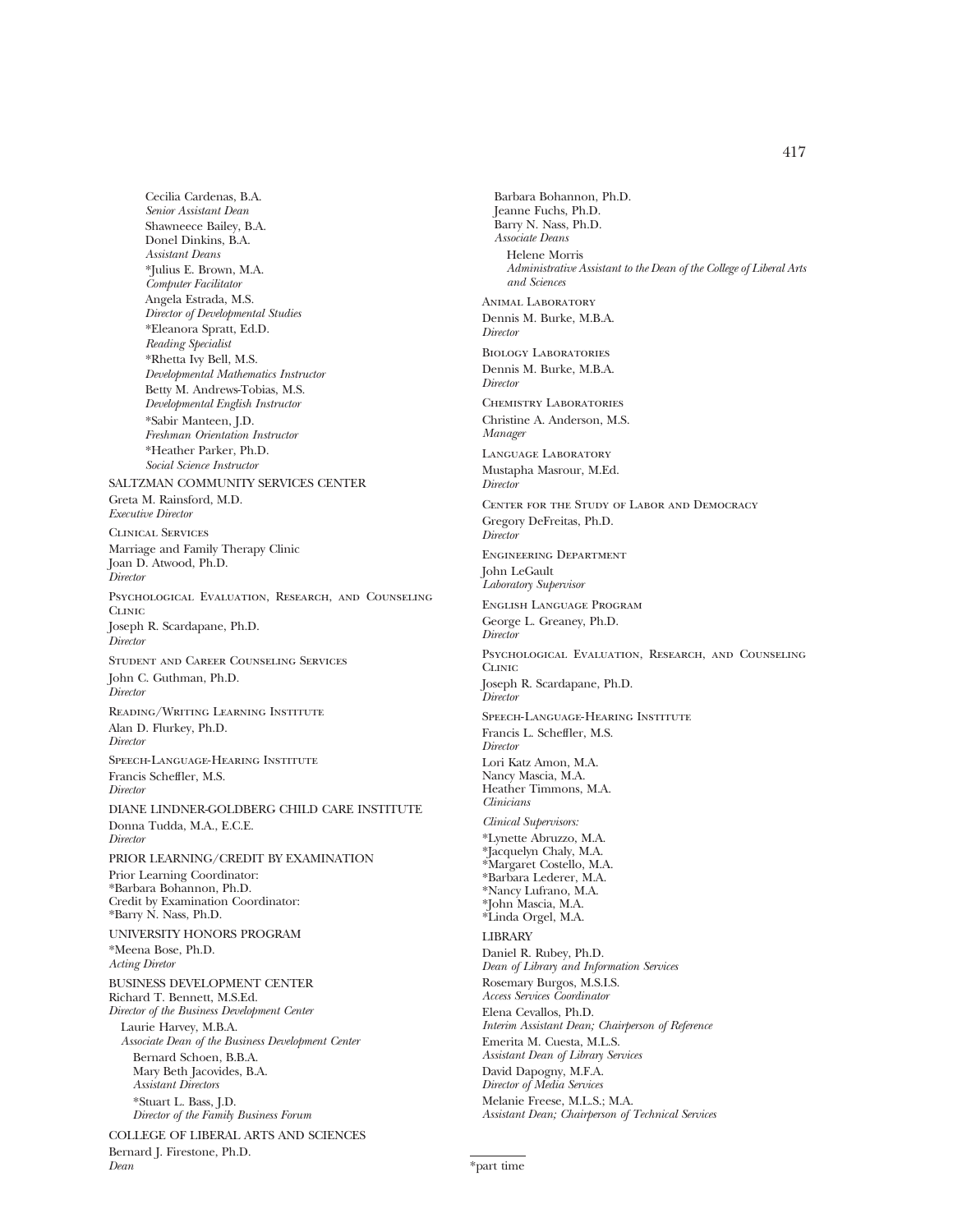Cecilia Cardenas, B.A. *Senior Assistant Dean* Shawneece Bailey, B.A. Donel Dinkins, B.A. *Assistant Deans* \*Julius E. Brown, M.A. *Computer Facilitator* Angela Estrada, M.S. *Director of Developmental Studies* \*Eleanora Spratt, Ed.D. *Reading Specialist* \*Rhetta Ivy Bell, M.S. *Developmental Mathematics Instructor* Betty M. Andrews-Tobias, M.S. *Developmental English Instructor* \*Sabir Manteen, J.D. *Freshman Orientation Instructor* \*Heather Parker, Ph.D. *Social Science Instructor* SALTZMAN COMMUNITY SERVICES CENTER Greta M. Rainsford, M.D. *Executive Director* Clinical Services Marriage and Family Therapy Clinic Joan D. Atwood, Ph.D. *Director* Psychological Evaluation, Research, and Counseling **CLINIC** Joseph R. Scardapane, Ph.D. *Director* Student and Career Counseling Services John C. Guthman, Ph.D. *Director* Reading/Writing Learning Institute Alan D. Flurkey, Ph.D. *Director* Speech-Language-Hearing Institute Francis Scheffler, M.S. *Director* DIANE LINDNER-GOLDBERG CHILD CARE INSTITUTE Donna Tudda, M.A., E.C.E. *Director* PRIOR LEARNING/CREDIT BY EXAMINATION Prior Learning Coordinator: \*Barbara Bohannon, Ph.D. Credit by Examination Coordinator: \*Barry N. Nass, Ph.D. UNIVERSITY HONORS PROGRAM \*Meena Bose, Ph.D. *Acting Diretor* BUSINESS DEVELOPMENT CENTER Richard T. Bennett, M.S.Ed. *Director of the Business Development Center* Laurie Harvey, M.B.A. *Associate Dean of the Business Development Center* Bernard Schoen, B.B.A. Mary Beth Jacovides, B.A. *Assistant Directors* \*Stuart L. Bass, J.D. *Director of the Family Business Forum*

COLLEGE OF LIBERAL ARTS AND SCIENCES Bernard J. Firestone, Ph.D. *Dean*

Barbara Bohannon, Ph.D. Jeanne Fuchs, Ph.D. Barry N. Nass, Ph.D. *Associate Deans* Helene Morris *Administrative Assistant to the Dean of the College of Liberal Arts and Sciences* Animal Laboratory Dennis M. Burke, M.B.A. *Director* Biology Laboratories Dennis M. Burke, M.B.A. *Director* Chemistry Laboratories Christine A. Anderson, M.S. *Manager* Language Laboratory Mustapha Masrour, M.Ed. *Director* Center for the Study of Labor and Democracy Gregory DeFreitas, Ph.D. *Director* Engineering Department John LeGault *Laboratory Supervisor* English Language Program George L. Greaney, Ph.D. *Director* Psychological Evaluation, Research, and Counseling **CLINIC** Joseph R. Scardapane, Ph.D. *Director* Speech-Language-Hearing Institute Francis L. Scheffler, M.S. *Director* Lori Katz Amon, M.A. Nancy Mascia, M.A. Heather Timmons, M.A. *Clinicians Clinical Supervisors:* \*Lynette Abruzzo, M.A. \*Jacquelyn Chaly, M.A. \*Margaret Costello, M.A. \*Barbara Lederer, M.A. \*Nancy Lufrano, M.A. \*John Mascia, M.A. \*Linda Orgel, M.A. LIBRARY Daniel R. Rubey, Ph.D. *Dean of Library and Information Services* Rosemary Burgos, M.S.I.S. *Access Services Coordinator* Elena Cevallos, Ph.D. *Interim Assistant Dean; Chairperson of Reference* Emerita M. Cuesta, M.L.S. *Assistant Dean of Library Services* David Dapogny, M.F.A. *Director of Media Services* Melanie Freese, M.L.S.; M.A. *Assistant Dean; Chairperson of Technical Services*

<sup>\*</sup>part time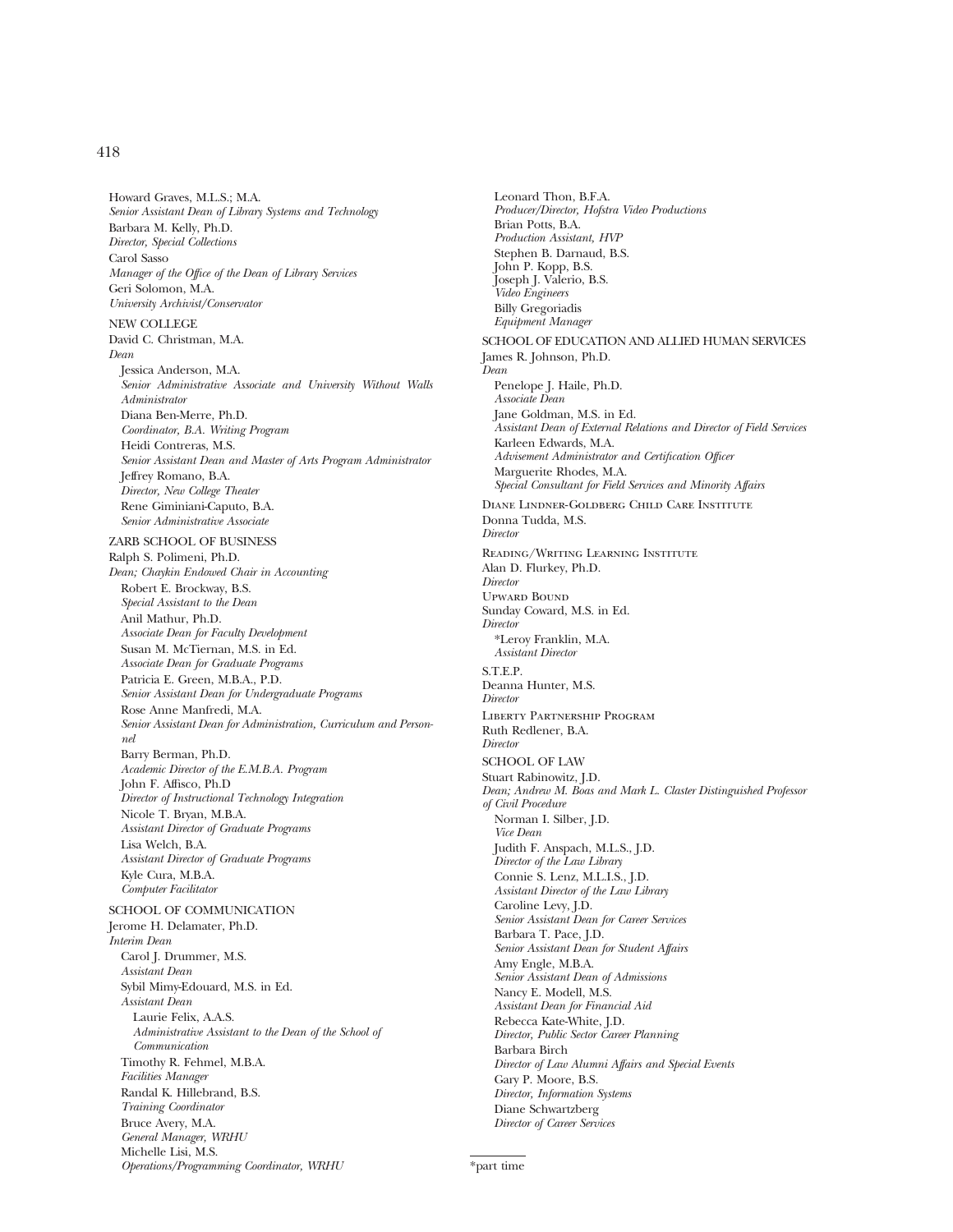Howard Graves, M.L.S.; M.A. *Senior Assistant Dean of Library Systems and Technology* Barbara M. Kelly, Ph.D. *Director, Special Collections* Carol Sasso *Manager of the Office of the Dean of Library Services* Geri Solomon, M.A. *University Archivist/Conservator* NEW COLLEGE David C. Christman, M.A. *Dean* Jessica Anderson, M.A. *Senior Administrative Associate and University Without Walls Administrator* Diana Ben-Merre, Ph.D. *Coordinator, B.A. Writing Program* Heidi Contreras, M.S. *Senior Assistant Dean and Master of Arts Program Administrator* Jeffrey Romano, B.A. *Director, New College Theater* Rene Giminiani-Caputo, B.A. *Senior Administrative Associate* ZARB SCHOOL OF BUSINESS Ralph S. Polimeni, Ph.D. *Dean; Chaykin Endowed Chair in Accounting* Robert E. Brockway, B.S. *Special Assistant to the Dean* Anil Mathur, Ph.D. *Associate Dean for Faculty Development* Susan M. McTiernan, M.S. in Ed. *Associate Dean for Graduate Programs* Patricia E. Green, M.B.A., P.D. *Senior Assistant Dean for Undergraduate Programs* Rose Anne Manfredi, M.A. *Senior Assistant Dean for Administration, Curriculum and Personnel* Barry Berman, Ph.D. *Academic Director of the E.M.B.A. Program* John F. Affisco, Ph.D *Director of Instructional Technology Integration* Nicole T. Bryan, M.B.A. *Assistant Director of Graduate Programs* Lisa Welch, B.A. *Assistant Director of Graduate Programs* Kyle Cura, M.B.A. *Computer Facilitator* SCHOOL OF COMMUNICATION Jerome H. Delamater, Ph.D. *Interim Dean* Carol J. Drummer, M.S. *Assistant Dean* Sybil Mimy-Edouard, M.S. in Ed. *Assistant Dean* Laurie Felix, A.A.S. *Administrative Assistant to the Dean of the School of Communication* Timothy R. Fehmel, M.B.A. *Facilities Manager* Randal K. Hillebrand, B.S. *Training Coordinator*

Bruce Avery, M.A. *General Manager, WRHU* Michelle Lisi, M.S.

*Operations/Programming Coordinator, WRHU*

Leonard Thon, B.F.A. *Producer/Director, Hofstra Video Productions* Brian Potts, B.A. *Production Assistant, HVP* Stephen B. Darnaud, B.S. John P. Kopp, B.S. Joseph J. Valerio, B.S. *Video Engineers* Billy Gregoriadis *Equipment Manager* SCHOOL OF EDUCATION AND ALLIED HUMAN SERVICES James R. Johnson, Ph.D. *Dean* Penelope J. Haile, Ph.D. *Associate Dean* Jane Goldman, M.S. in Ed. *Assistant Dean of External Relations and Director of Field Services* Karleen Edwards, M.A. *Advisement Administrator and Certification Officer* Marguerite Rhodes, M.A. *Special Consultant for Field Services and Minority Affairs* Diane Lindner-Goldberg Child Care Institute Donna Tudda, M.S. *Director* Reading/Writing Learning Institute Alan D. Flurkey, Ph.D. *Director* Upward Bound Sunday Coward, M.S. in Ed. *Director* \*Leroy Franklin, M.A. *Assistant Director* S.T.E.P. Deanna Hunter, M.S. *Director* Liberty Partnership Program Ruth Redlener, B.A. *Director* SCHOOL OF LAW Stuart Rabinowitz, J.D. *Dean; Andrew M. Boas and Mark L. Claster Distinguished Professor of Civil Procedure* Norman I. Silber, J.D. *Vice Dean* Judith F. Anspach, M.L.S., J.D. *Director of the Law Library* Connie S. Lenz, M.L.I.S., J.D. *Assistant Director of the Law Library* Caroline Levy, J.D. *Senior Assistant Dean for Career Services* Barbara T. Pace, J.D. *Senior Assistant Dean for Student Affairs* Amy Engle, M.B.A. *Senior Assistant Dean of Admissions* Nancy E. Modell, M.S. *Assistant Dean for Financial Aid* Rebecca Kate-White, J.D. *Director, Public Sector Career Planning* Barbara Birch *Director of Law Alumni Affairs and Special Events* Gary P. Moore, B.S. *Director, Information Systems* Diane Schwartzberg *Director of Career Services*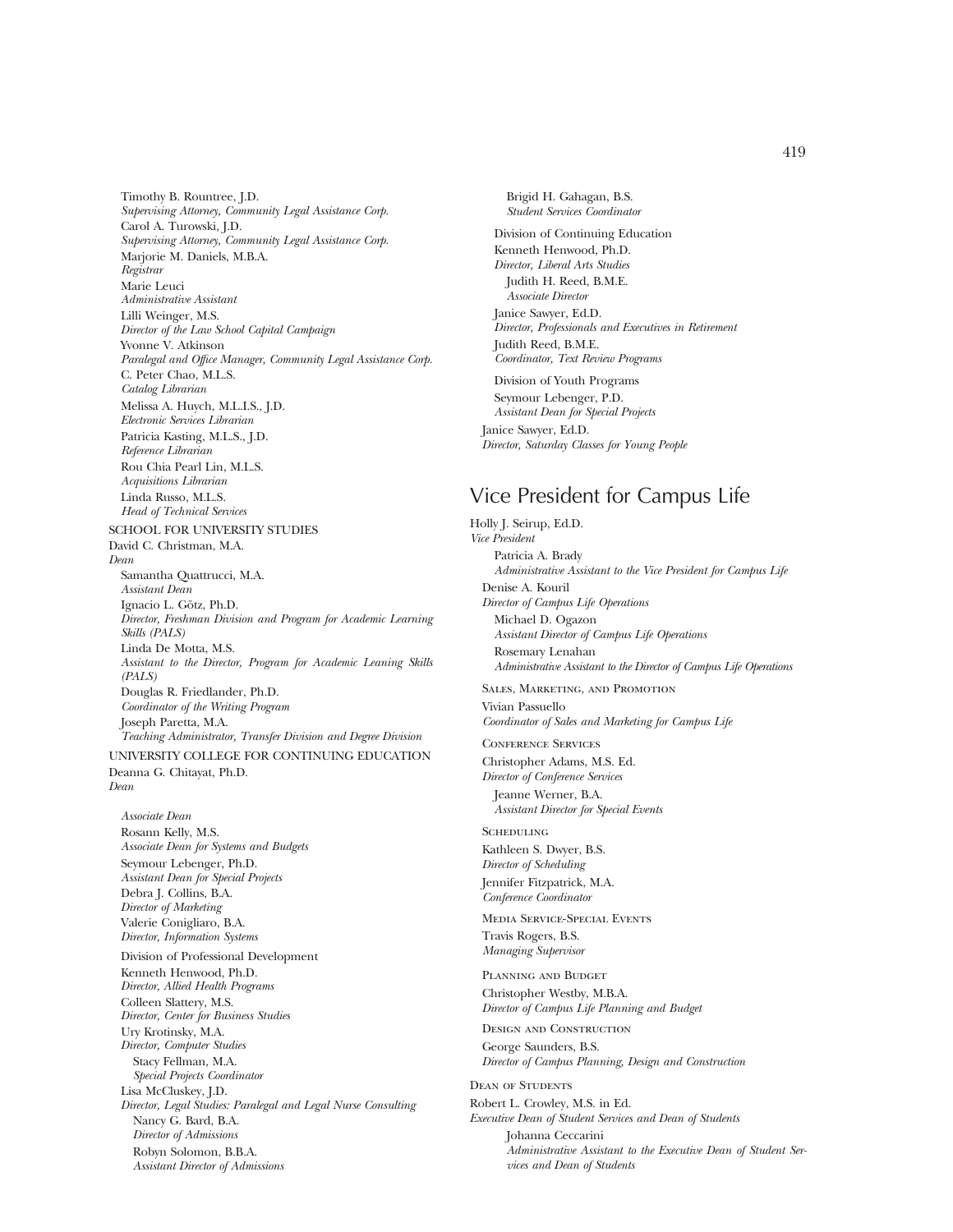Timothy B. Rountree, J.D. *Supervising Attorney, Community Legal Assistance Corp.* Carol A. Turowski, J.D. *Supervising Attorney, Community Legal Assistance Corp.* Marjorie M. Daniels, M.B.A. *Registrar* Marie Leuci *Administrative Assistant* Lilli Weinger, M.S. *Director of the Law School Capital Campaign* Yvonne V. Atkinson *Paralegal and Office Manager, Community Legal Assistance Corp.* C. Peter Chao, M.L.S. *Catalog Librarian* Melissa A. Huych, M.L.I.S., J.D. *Electronic Services Librarian* Patricia Kasting, M.L.S., J.D. *Reference Librarian* Rou Chia Pearl Lin, M.L.S. *Acquisitions Librarian* Linda Russo, M.L.S. *Head of Technical Services* SCHOOL FOR UNIVERSITY STUDIES David C. Christman, M.A. *Dean* Samantha Quattrucci, M.A. *Assistant Dean* Ignacio L. Götz, Ph.D. *Director, Freshman Division and Program for Academic Learning Skills (PALS)* Linda De Motta, M.S. *Assistant to the Director, Program for Academic Leaning Skills (PALS)* Douglas R. Friedlander, Ph.D. *Coordinator of the Writing Program* Joseph Paretta, M.A. *Teaching Administrator, Transfer Division and Degree Division*

UNIVERSITY COLLEGE FOR CONTINUING EDUCATION Deanna G. Chitayat, Ph.D. *Dean*

*Associate Dean* Rosann Kelly, M.S. *Associate Dean for Systems and Budgets* Seymour Lebenger, Ph.D. *Assistant Dean for Special Projects* Debra J. Collins, B.A. *Director of Marketing* Valerie Conigliaro, B.A. *Director, Information Systems* Division of Professional Development

Kenneth Henwood, Ph.D. *Director, Allied Health Programs* Colleen Slattery, M.S. *Director, Center for Business Studies* Ury Krotinsky, M.A. *Director, Computer Studies* Stacy Fellman, M.A. *Special Projects Coordinator* Lisa McCluskey, J.D. *Director, Legal Studies: Paralegal and Legal Nurse Consulting* Nancy G. Bard, B.A. *Director of Admissions* Robyn Solomon, B.B.A. *Assistant Director of Admissions*

Brigid H. Gahagan, B.S. *Student Services Coordinator* Division of Continuing Education Kenneth Henwood, Ph.D. *Director, Liberal Arts Studies* Judith H. Reed, B.M.E. *Associate Director* Janice Sawyer, Ed.D. *Director, Professionals and Executives in Retirement* Judith Reed, B.M.E. *Coordinator, Text Review Programs* Division of Youth Programs Seymour Lebenger, P.D. *Assistant Dean for Special Projects* Janice Sawyer, Ed.D.

## Vice President for Campus Life

*Director, Saturday Classes for Young People*

Holly J. Seirup, Ed.D. *Vice President* Patricia A. Brady *Administrative Assistant to the Vice President for Campus Life* Denise A. Kouril *Director of Campus Life Operations* Michael D. Ogazon *Assistant Director of Campus Life Operations* Rosemary Lenahan *Administrative Assistant to the Director of Campus Life Operations* Sales, Marketing, and Promotion

Vivian Passuello *Coordinator of Sales and Marketing for Campus Life*

Conference Services Christopher Adams, M.S. Ed. *Director of Conference Services*

Jeanne Werner, B.A. *Assistant Director for Special Events*

**SCHEDULING** Kathleen S. Dwyer, B.S. *Director of Scheduling* Jennifer Fitzpatrick, M.A. *Conference Coordinator*

Media Service-Special Events Travis Rogers, B.S. *Managing Supervisor*

Planning and Budget Christopher Westby, M.B.A. *Director of Campus Life Planning and Budget*

Design and Construction George Saunders, B.S. *Director of Campus Planning, Design and Construction*

Dean of Students Robert L. Crowley, M.S. in Ed. *Executive Dean of Student Services and Dean of Students* Johanna Ceccarini *Administrative Assistant to the Executive Dean of Student Services and Dean of Students*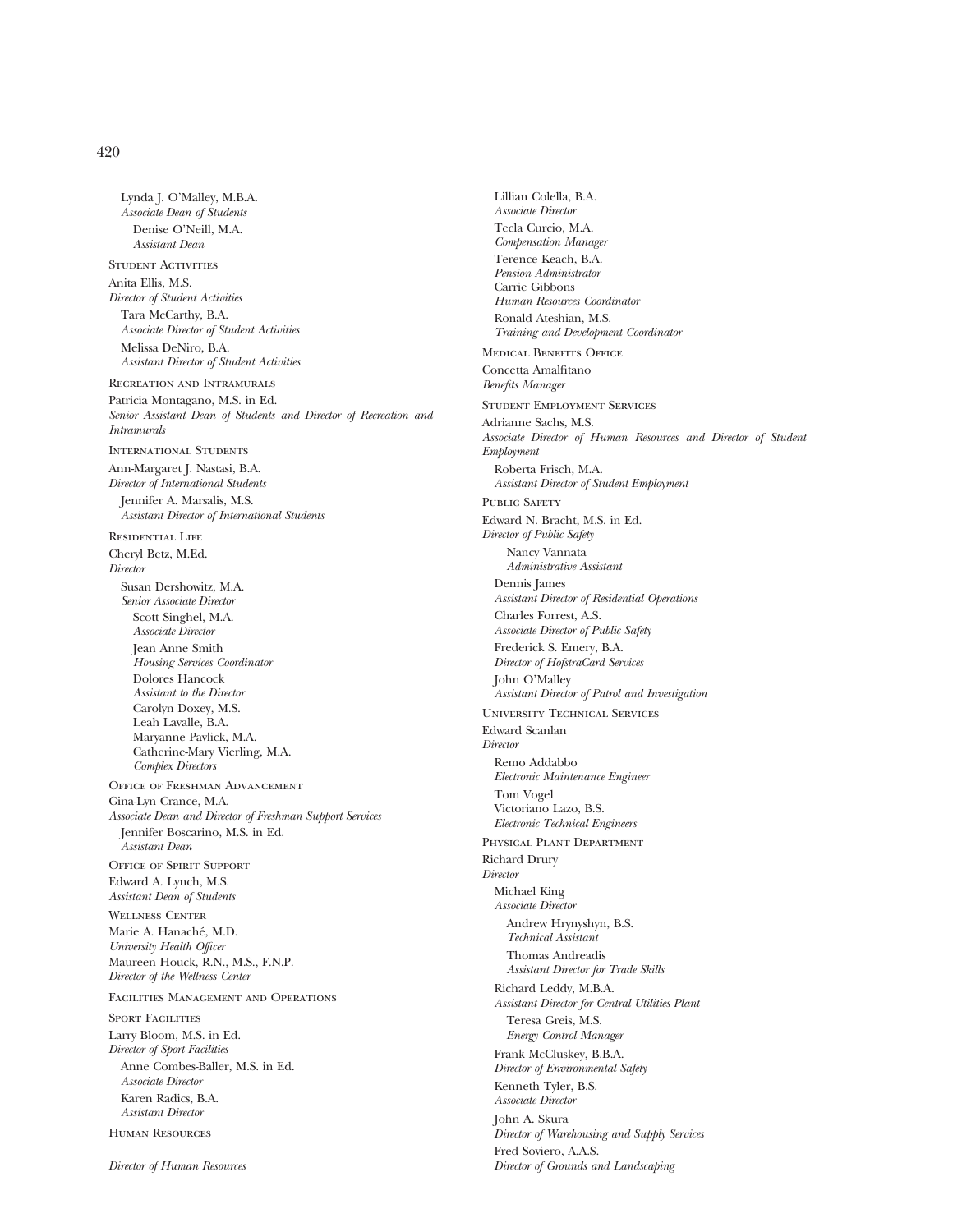Lynda J. O'Malley, M.B.A. *Associate Dean of Students* Denise O'Neill, M.A. *Assistant Dean* STUDENT ACTIVITIES Anita Ellis, M.S. *Director of Student Activities* Tara McCarthy, B.A. *Associate Director of Student Activities* Melissa DeNiro, B.A. *Assistant Director of Student Activities* Recreation and Intramurals Patricia Montagano, M.S. in Ed. *Senior Assistant Dean of Students and Director of Recreation and Intramurals* International Students Ann-Margaret J. Nastasi, B.A. *Director of International Students* Jennifer A. Marsalis, M.S. *Assistant Director of International Students* Residential Life Cheryl Betz, M.Ed. *Director* Susan Dershowitz, M.A. *Senior Associate Director* Scott Singhel, M.A. *Associate Director* Jean Anne Smith *Housing Services Coordinator* Dolores Hancock *Assistant to the Director* Carolyn Doxey, M.S. Leah Lavalle, B.A. Maryanne Pavlick, M.A. Catherine-Mary Vierling, M.A. *Complex Directors* Office of Freshman Advancement Gina-Lyn Crance, M.A. *Associate Dean and Director of Freshman Support Services* Jennifer Boscarino, M.S. in Ed. *Assistant Dean* Office of Spirit Support Edward A. Lynch, M.S. *Assistant Dean of Students* Wellness Center Marie A. Hanaché, M.D. *University Health Officer* Maureen Houck, R.N., M.S., F.N.P. *Director of the Wellness Center* Facilities Management and Operations SPORT FACILITIES Larry Bloom, M.S. in Ed. *Director of Sport Facilities* Anne Combes-Baller, M.S. in Ed. *Associate Director* Karen Radics, B.A. *Assistant Director* Human Resources

*Compensation Manager* Terence Keach, B.A. *Pension Administrator* Carrie Gibbons *Human Resources Coordinator* Ronald Ateshian, M.S. *Training and Development Coordinator* Medical Benefits Office Concetta Amalfitano *Benefits Manager* Student Employment Services Adrianne Sachs, M.S. *Associate Director of Human Resources and Director of Student Employment* Roberta Frisch, M.A. *Assistant Director of Student Employment* PUBLIC SAFETY Edward N. Bracht, M.S. in Ed. *Director of Public Safety* Nancy Vannata *Administrative Assistant* Dennis James *Assistant Director of Residential Operations* Charles Forrest, A.S. *Associate Director of Public Safety* Frederick S. Emery, B.A. *Director of HofstraCard Services* John O'Malley *Assistant Director of Patrol and Investigation* University Technical Services Edward Scanlan *Director* Remo Addabbo *Electronic Maintenance Engineer* Tom Vogel Victoriano Lazo, B.S. *Electronic Technical Engineers* Physical Plant Department Richard Drury *Director* Michael King *Associate Director* Andrew Hrynyshyn, B.S. *Technical Assistant* Thomas Andreadis *Assistant Director for Trade Skills* Richard Leddy, M.B.A. *Assistant Director for Central Utilities Plant* Teresa Greis, M.S. *Energy Control Manager* Frank McCluskey, B.B.A. *Director of Environmental Safety* Kenneth Tyler, B.S. *Associate Director* John A. Skura *Director of Warehousing and Supply Services* Fred Soviero, A.A.S. *Director of Grounds and Landscaping*

Lillian Colella, B.A. *Associate Director* Tecla Curcio, M.A.

*Director of Human Resources*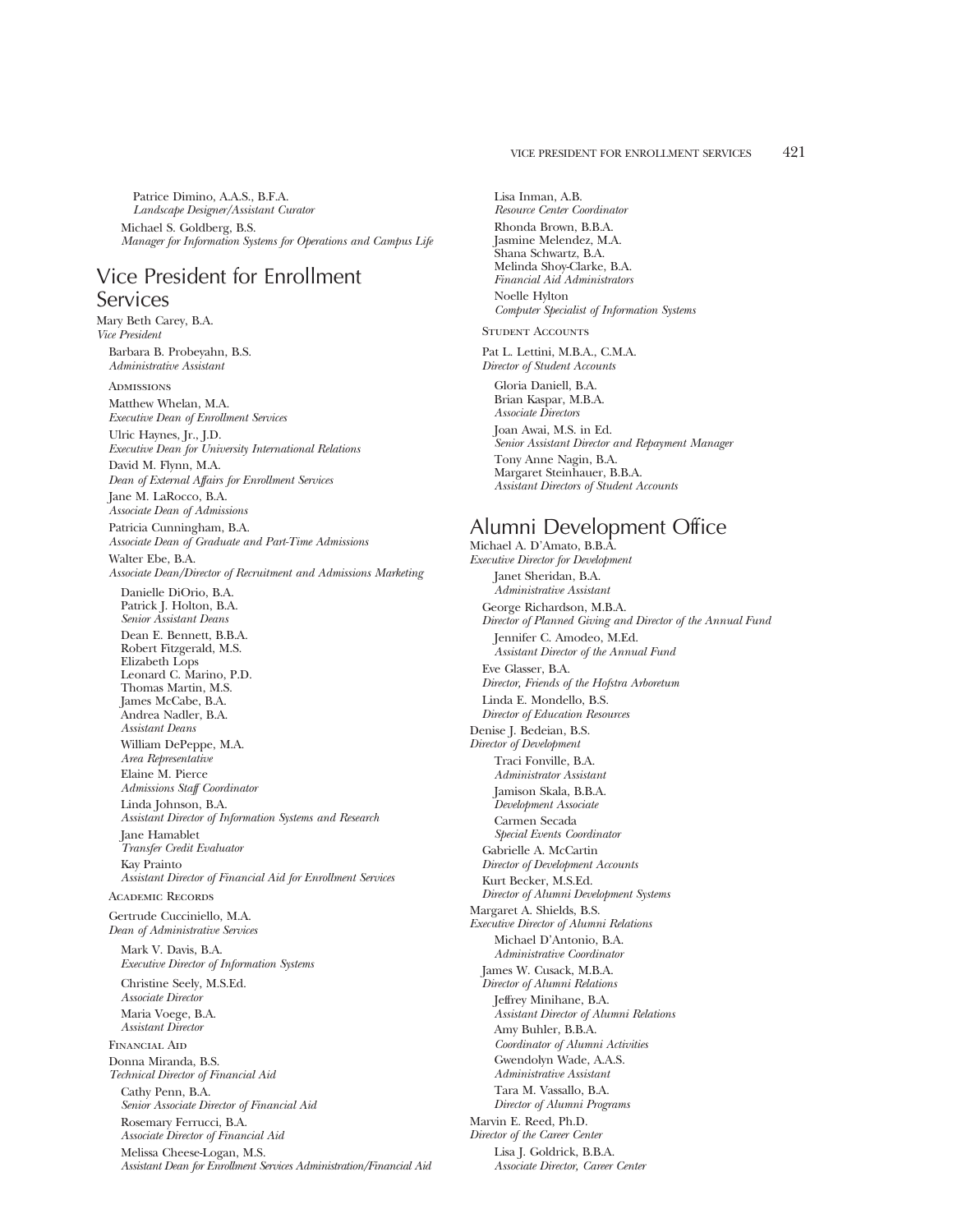Patrice Dimino, A.A.S., B.F.A. *Landscape Designer/Assistant Curator* Michael S. Goldberg, B.S.

*Manager for Information Systems for Operations and Campus Life*

## Vice President for Enrollment Services

Mary Beth Carey, B.A. *Vice President* Barbara B. Probeyahn, B.S. *Administrative Assistant* ADMISSIONS Matthew Whelan, M.A. *Executive Dean of Enrollment Services* Ulric Haynes, Jr., J.D. *Executive Dean for University International Relations* David M. Flynn, M.A. *Dean of External Affairs for Enrollment Services* Jane M. LaRocco, B.A. *Associate Dean of Admissions* Patricia Cunningham, B.A. *Associate Dean of Graduate and Part-Time Admissions* Walter Ebe, B.A. *Associate Dean/Director of Recruitment and Admissions Marketing* Danielle DiOrio, B.A. Patrick J. Holton, B.A. *Senior Assistant Deans* Dean E. Bennett, B.B.A. Robert Fitzgerald, M.S. Elizabeth Lops Leonard C. Marino, P.D. Thomas Martin, M.S. James McCabe, B.A. Andrea Nadler, B.A. *Assistant Deans* William DePeppe, M.A. *Area Representative* Elaine M. Pierce *Admissions Staff Coordinator* Linda Johnson, B.A. *Assistant Director of Information Systems and Research* Jane Hamablet *Transfer Credit Evaluator* Kay Prainto *Assistant Director of Financial Aid for Enrollment Services* Academic Records Gertrude Cucciniello, M.A. *Dean of Administrative Services* Mark V. Davis, B.A. *Executive Director of Information Systems* Christine Seely, M.S.Ed. *Associate Director* Maria Voege, B.A. *Assistant Director* Financial Aid Donna Miranda, B.S. *Technical Director of Financial Aid* Cathy Penn, B.A. *Senior Associate Director of Financial Aid* Rosemary Ferrucci, B.A. *Associate Director of Financial Aid* Melissa Cheese-Logan, M.S. *Assistant Dean for Enrollment Services Administration/Financial Aid*

Lisa Inman, A.B. *Resource Center Coordinator* Rhonda Brown, B.B.A. Jasmine Melendez, M.A. Shana Schwartz, B.A. Melinda Shoy-Clarke, B.A. *Financial Aid Administrators* Noelle Hylton *Computer Specialist of Information Systems* STUDENT ACCOUNTS Pat L. Lettini, M.B.A., C.M.A. *Director of Student Accounts* Gloria Daniell, B.A. Brian Kaspar, M.B.A. *Associate Directors* Joan Awai, M.S. in Ed. *Senior Assistant Director and Repayment Manager* Tony Anne Nagin, B.A. Margaret Steinhauer, B.B.A. *Assistant Directors of Student Accounts*

### Alumni Development Office

Michael A. D'Amato, B.B.A. *Executive Director for Development* Janet Sheridan, B.A. *Administrative Assistant* George Richardson, M.B.A. *Director of Planned Giving and Director of the Annual Fund* Jennifer C. Amodeo, M.Ed. *Assistant Director of the Annual Fund* Eve Glasser, B.A. *Director, Friends of the Hofstra Arboretum* Linda E. Mondello, B.S. *Director of Education Resources* Denise J. Bedeian, B.S. *Director of Development* Traci Fonville, B.A. *Administrator Assistant* Jamison Skala, B.B.A. *Development Associate* Carmen Secada *Special Events Coordinator* Gabrielle A. McCartin *Director of Development Accounts* Kurt Becker, M.S.Ed. *Director of Alumni Development Systems* Margaret A. Shields, B.S. *Executive Director of Alumni Relations* Michael D'Antonio, B.A. *Administrative Coordinator* James W. Cusack, M.B.A. *Director of Alumni Relations* Jeffrey Minihane, B.A. *Assistant Director of Alumni Relations* Amy Buhler, B.B.A. *Coordinator of Alumni Activities* Gwendolyn Wade, A.A.S. *Administrative Assistant* Tara M. Vassallo, B.A. *Director of Alumni Programs* Marvin E. Reed, Ph.D. *Director of the Career Center* Lisa J. Goldrick, B.B.A. *Associate Director, Career Center*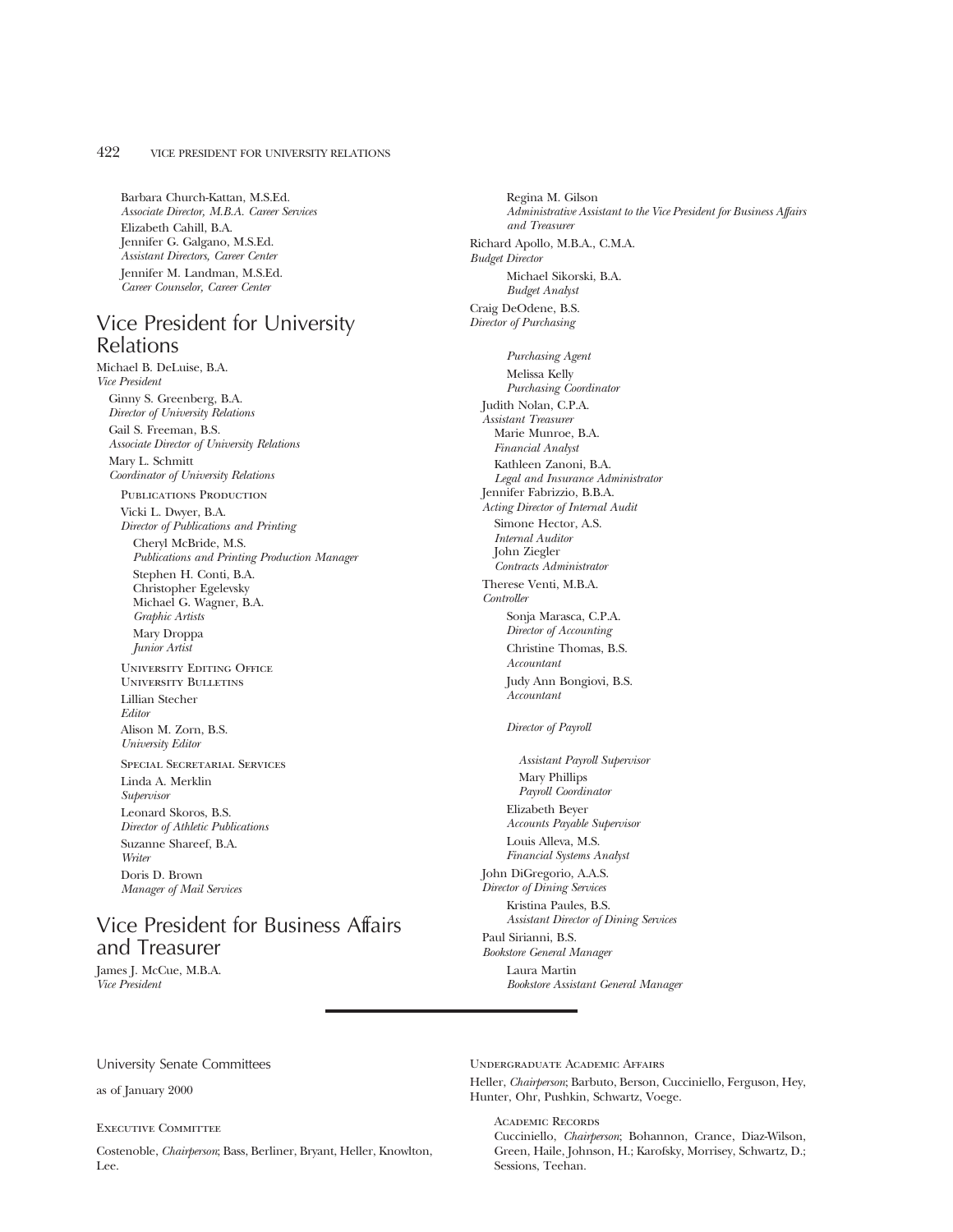Barbara Church-Kattan, M.S.Ed. *Associate Director, M.B.A. Career Services* Elizabeth Cahill, B.A. Jennifer G. Galgano, M.S.Ed. *Assistant Directors, Career Center* Jennifer M. Landman, M.S.Ed. *Career Counselor, Career Center*

## Vice President for University Relations

Michael B. DeLuise, B.A. *Vice President* Ginny S. Greenberg, B.A. *Director of University Relations* Gail S. Freeman, B.S. *Associate Director of University Relations* Mary L. Schmitt *Coordinator of University Relations*

PUBLICATIONS PRODUCTION

Vicki L. Dwyer, B.A. *Director of Publications and Printing*

Cheryl McBride, M.S. *Publications and Printing Production Manager* Stephen H. Conti, B.A. Christopher Egelevsky Michael G. Wagner, B.A. *Graphic Artists* Mary Droppa

*Junior Artist* University Editing Office

University Bulletins Lillian Stecher *Editor* Alison M. Zorn, B.S. *University Editor*

Special Secretarial Services Linda A. Merklin *Supervisor* Leonard Skoros, B.S. *Director of Athletic Publications* Suzanne Shareef, B.A. *Writer* Doris D. Brown *Manager of Mail Services*

## Vice President for Business Affairs and Treasurer

James J. McCue, M.B.A. *Vice President*

Regina M. Gilson *Administrative Assistant to the Vice President for Business Affairs and Treasurer* Richard Apollo, M.B.A., C.M.A. *Budget Director* Michael Sikorski, B.A. *Budget Analyst* Craig DeOdene, B.S. *Director of Purchasing Purchasing Agent* Melissa Kelly *Purchasing Coordinator* Judith Nolan, C.P.A. *Assistant Treasurer* Marie Munroe, B.A. *Financial Analyst* Kathleen Zanoni, B.A. *Legal and Insurance Administrator* Jennifer Fabrizzio, B.B.A. *Acting Director of Internal Audit* Simone Hector, A.S. *Internal Auditor* John Ziegler *Contracts Administrator* Therese Venti, M.B.A. *Controller* Sonja Marasca, C.P.A. *Director of Accounting* Christine Thomas, B.S. *Accountant* Judy Ann Bongiovi, B.S. *Accountant Director of Payroll Assistant Payroll Supervisor* Mary Phillips *Payroll Coordinator* Elizabeth Beyer *Accounts Payable Supervisor* Louis Alleva, M.S. *Financial Systems Analyst* John DiGregorio, A.A.S. *Director of Dining Services* Kristina Paules, B.S. *Assistant Director of Dining Services* Paul Sirianni, B.S. *Bookstore General Manager* Laura Martin *Bookstore Assistant General Manager*

University Senate Committees

as of January 2000

### Executive Committee

Costenoble, *Chairperson*; Bass, Berliner, Bryant, Heller, Knowlton, Lee.

Undergraduate Academic Affairs

Heller, *Chairperson*; Barbuto, Berson, Cucciniello, Ferguson, Hey, Hunter, Ohr, Pushkin, Schwartz, Voege.

Academic Records

Cucciniello, *Chairperson*; Bohannon, Crance, Diaz-Wilson, Green, Haile, Johnson, H.; Karofsky, Morrisey, Schwartz, D.; Sessions, Teehan.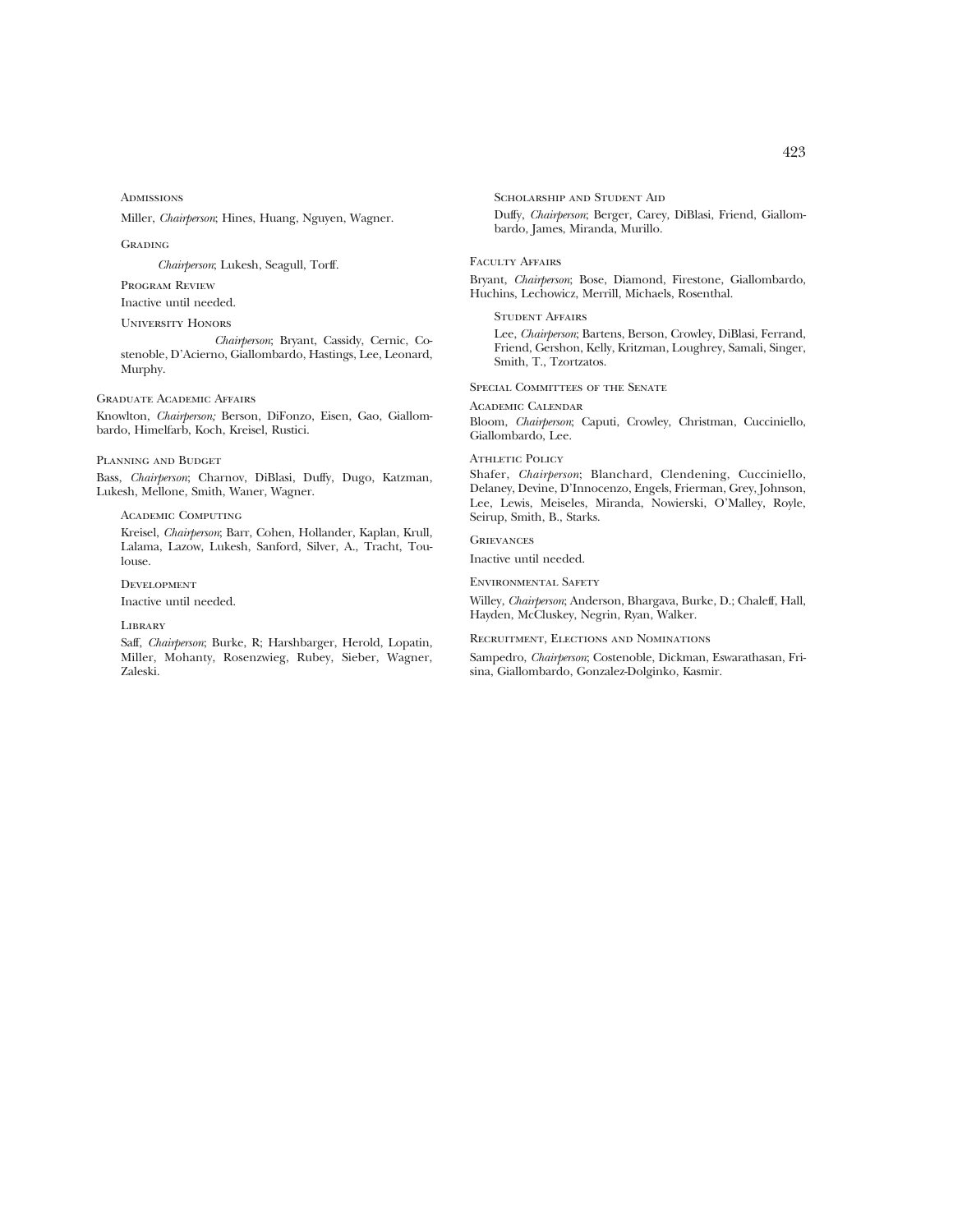**ADMISSIONS** 

Miller, *Chairperson*; Hines, Huang, Nguyen, Wagner.

**GRADING** 

*Chairperson*; Lukesh, Seagull, Torff.

Program Review

Inactive until needed.

University Honors

*Chairperson*; Bryant, Cassidy, Cernic, Costenoble, D'Acierno, Giallombardo, Hastings, Lee, Leonard, Murphy.

Graduate Academic Affairs

Knowlton, *Chairperson;* Berson, DiFonzo, Eisen, Gao, Giallombardo, Himelfarb, Koch, Kreisel, Rustici.

Planning and Budget

Bass, *Chairperson*; Charnov, DiBlasi, Duffy, Dugo, Katzman, Lukesh, Mellone, Smith, Waner, Wagner.

Academic Computing

Kreisel, *Chairperson*; Barr, Cohen, Hollander, Kaplan, Krull, Lalama, Lazow, Lukesh, Sanford, Silver, A., Tracht, Toulouse.

**DEVELOPMENT** 

Inactive until needed.

**LIBRARY** 

Saff, *Chairperson*; Burke, R; Harshbarger, Herold, Lopatin, Miller, Mohanty, Rosenzwieg, Rubey, Sieber, Wagner, Zaleski.

SCHOLARSHIP AND STUDENT AID Duffy, *Chairperson*; Berger, Carey, DiBlasi, Friend, Giallombardo, James, Miranda, Murillo.

Faculty Affairs

Bryant, *Chairperson*; Bose, Diamond, Firestone, Giallombardo, Huchins, Lechowicz, Merrill, Michaels, Rosenthal.

### Student Affairs

Lee, *Chairperson*; Bartens, Berson, Crowley, DiBlasi, Ferrand, Friend, Gershon, Kelly, Kritzman, Loughrey, Samali, Singer, Smith, T., Tzortzatos.

### SPECIAL COMMITTEES OF THE SENATE

Academic Calendar

Bloom, *Chairperson*; Caputi, Crowley, Christman, Cucciniello, Giallombardo, Lee.

### **ATHLETIC POLICY**

Shafer, *Chairperson*; Blanchard, Clendening, Cucciniello, Delaney, Devine, D'Innocenzo, Engels, Frierman, Grey, Johnson, Lee, Lewis, Meiseles, Miranda, Nowierski, O'Malley, Royle, Seirup, Smith, B., Starks.

### **GRIEVANCES**

Inactive until needed.

Environmental Safety

Willey, *Chairperson*; Anderson, Bhargava, Burke, D.; Chaleff, Hall, Hayden, McCluskey, Negrin, Ryan, Walker.

Recruitment, Elections and Nominations

Sampedro, *Chairperson*; Costenoble, Dickman, Eswarathasan, Frisina, Giallombardo, Gonzalez-Dolginko, Kasmir.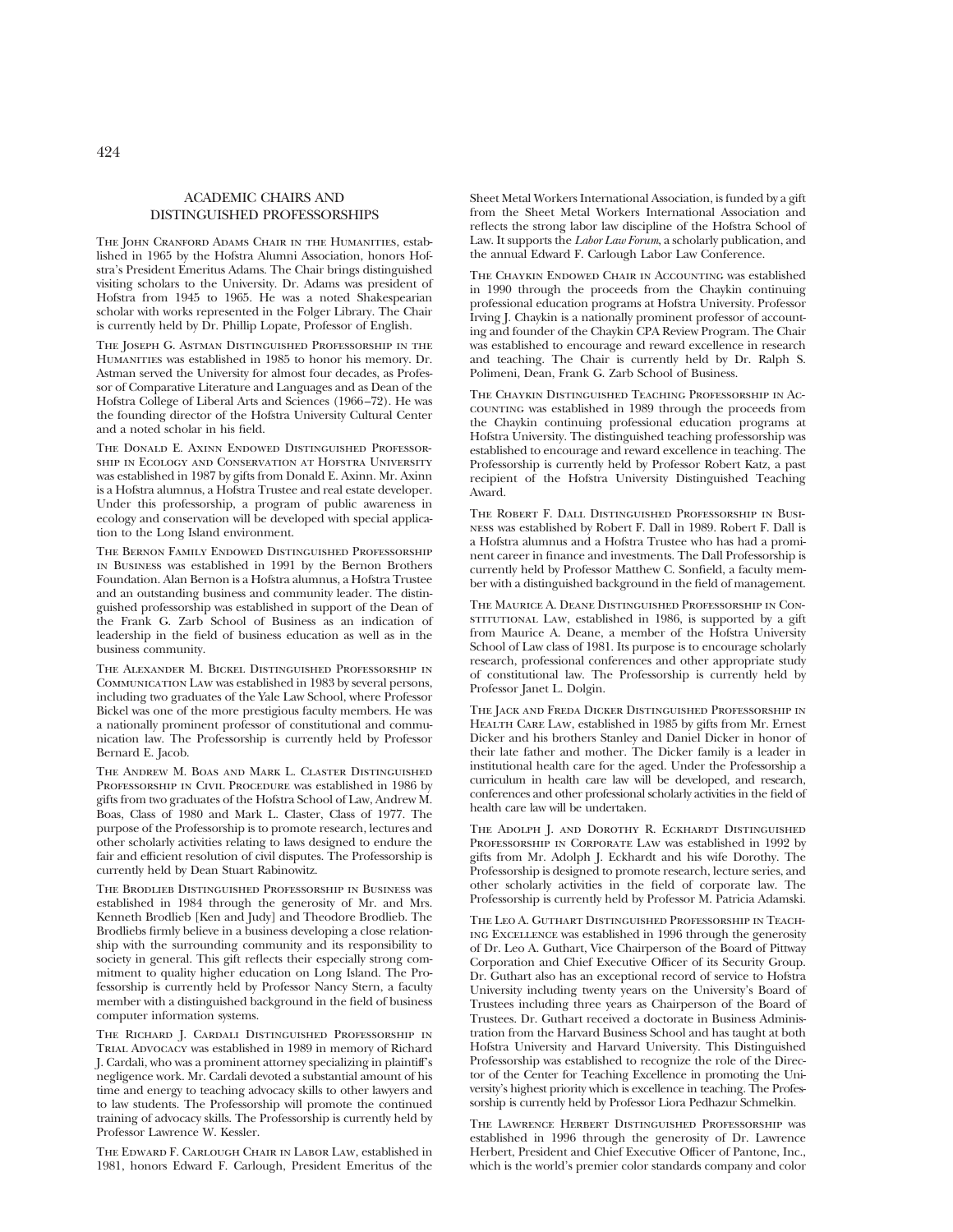### ACADEMIC CHAIRS AND DISTINGUISHED PROFESSORSHIPS

THE JOHN CRANFORD ADAMS CHAIR IN THE HUMANITIES, established in 1965 by the Hofstra Alumni Association, honors Hofstra's President Emeritus Adams. The Chair brings distinguished visiting scholars to the University. Dr. Adams was president of Hofstra from 1945 to 1965. He was a noted Shakespearian scholar with works represented in the Folger Library. The Chair is currently held by Dr. Phillip Lopate, Professor of English.

The Joseph G. Astman Distinguished Professorship in the Humanities was established in 1985 to honor his memory. Dr. Astman served the University for almost four decades, as Professor of Comparative Literature and Languages and as Dean of the Hofstra College of Liberal Arts and Sciences (1966–72). He was the founding director of the Hofstra University Cultural Center and a noted scholar in his field.

The Donald E. Axinn Endowed Distinguished Professorship in Ecology and Conservation at Hofstra University was established in 1987 by gifts from Donald E. Axinn. Mr. Axinn is a Hofstra alumnus, a Hofstra Trustee and real estate developer. Under this professorship, a program of public awareness in ecology and conservation will be developed with special application to the Long Island environment.

The Bernon Family Endowed Distinguished Professorship in Business was established in 1991 by the Bernon Brothers Foundation. Alan Bernon is a Hofstra alumnus, a Hofstra Trustee and an outstanding business and community leader. The distinguished professorship was established in support of the Dean of the Frank G. Zarb School of Business as an indication of leadership in the field of business education as well as in the business community.

The Alexander M. Bickel Distinguished Professorship in Communication Law was established in 1983 by several persons, including two graduates of the Yale Law School, where Professor Bickel was one of the more prestigious faculty members. He was a nationally prominent professor of constitutional and communication law. The Professorship is currently held by Professor Bernard E. Jacob.

The Andrew M. Boas and Mark L. Claster Distinguished PROFESSORSHIP IN CIVIL PROCEDURE was established in 1986 by gifts from two graduates of the Hofstra School of Law, Andrew M. Boas, Class of 1980 and Mark L. Claster, Class of 1977. The purpose of the Professorship is to promote research, lectures and other scholarly activities relating to laws designed to endure the fair and efficient resolution of civil disputes. The Professorship is currently held by Dean Stuart Rabinowitz.

The Brodlieb Distinguished Professorship in Business was established in 1984 through the generosity of Mr. and Mrs. Kenneth Brodlieb [Ken and Judy] and Theodore Brodlieb. The Brodliebs firmly believe in a business developing a close relationship with the surrounding community and its responsibility to society in general. This gift reflects their especially strong commitment to quality higher education on Long Island. The Professorship is currently held by Professor Nancy Stern, a faculty member with a distinguished background in the field of business computer information systems.

The Richard J. Cardali Distinguished Professorship in Trial Advocacy was established in 1989 in memory of Richard J. Cardali, who was a prominent attorney specializing in plaintiff's negligence work. Mr. Cardali devoted a substantial amount of his time and energy to teaching advocacy skills to other lawyers and to law students. The Professorship will promote the continued training of advocacy skills. The Professorship is currently held by Professor Lawrence W. Kessler.

The Edward F. Carlough Chair in Labor Law, established in 1981, honors Edward F. Carlough, President Emeritus of the

Sheet Metal Workers International Association, is funded by a gift from the Sheet Metal Workers International Association and reflects the strong labor law discipline of the Hofstra School of Law. It supports the *Labor Law Forum*, a scholarly publication, and the annual Edward F. Carlough Labor Law Conference.

The Chaykin Endowed Chair in Accounting was established in 1990 through the proceeds from the Chaykin continuing professional education programs at Hofstra University. Professor Irving J. Chaykin is a nationally prominent professor of accounting and founder of the Chaykin CPA Review Program. The Chair was established to encourage and reward excellence in research and teaching. The Chair is currently held by Dr. Ralph S. Polimeni, Dean, Frank G. Zarb School of Business.

The Chaykin Distinguished Teaching Professorship in Accounting was established in 1989 through the proceeds from the Chaykin continuing professional education programs at Hofstra University. The distinguished teaching professorship was established to encourage and reward excellence in teaching. The Professorship is currently held by Professor Robert Katz, a past recipient of the Hofstra University Distinguished Teaching Award.

The Robert F. Dall Distinguished Professorship in Business was established by Robert F. Dall in 1989. Robert F. Dall is a Hofstra alumnus and a Hofstra Trustee who has had a prominent career in finance and investments. The Dall Professorship is currently held by Professor Matthew C. Sonfield, a faculty member with a distinguished background in the field of management.

The Maurice A. Deane Distinguished Professorship in ConsTITUTIONAL LAW, established in 1986, is supported by a gift from Maurice A. Deane, a member of the Hofstra University School of Law class of 1981. Its purpose is to encourage scholarly research, professional conferences and other appropriate study of constitutional law. The Professorship is currently held by Professor Janet L. Dolgin.

The Jack and Freda Dicker Distinguished Professorship in HEALTH CARE LAW, established in 1985 by gifts from Mr. Ernest Dicker and his brothers Stanley and Daniel Dicker in honor of their late father and mother. The Dicker family is a leader in institutional health care for the aged. Under the Professorship a curriculum in health care law will be developed, and research, conferences and other professional scholarly activities in the field of health care law will be undertaken.

THE ADOLPH J. AND DOROTHY R. ECKHARDT DISTINGUISHED PROFESSORSHIP IN CORPORATE LAW was established in 1992 by gifts from Mr. Adolph J. Eckhardt and his wife Dorothy. The Professorship is designed to promote research, lecture series, and other scholarly activities in the field of corporate law. The Professorship is currently held by Professor M. Patricia Adamski.

The Leo A. Guthart Distinguished Professorship in Teaching Excellence was established in 1996 through the generosity of Dr. Leo A. Guthart, Vice Chairperson of the Board of Pittway Corporation and Chief Executive Officer of its Security Group. Dr. Guthart also has an exceptional record of service to Hofstra University including twenty years on the University's Board of Trustees including three years as Chairperson of the Board of Trustees. Dr. Guthart received a doctorate in Business Administration from the Harvard Business School and has taught at both Hofstra University and Harvard University. This Distinguished Professorship was established to recognize the role of the Director of the Center for Teaching Excellence in promoting the University's highest priority which is excellence in teaching. The Professorship is currently held by Professor Liora Pedhazur Schmelkin.

The Lawrence Herbert Distinguished Professorship was established in 1996 through the generosity of Dr. Lawrence Herbert, President and Chief Executive Officer of Pantone, Inc., which is the world's premier color standards company and color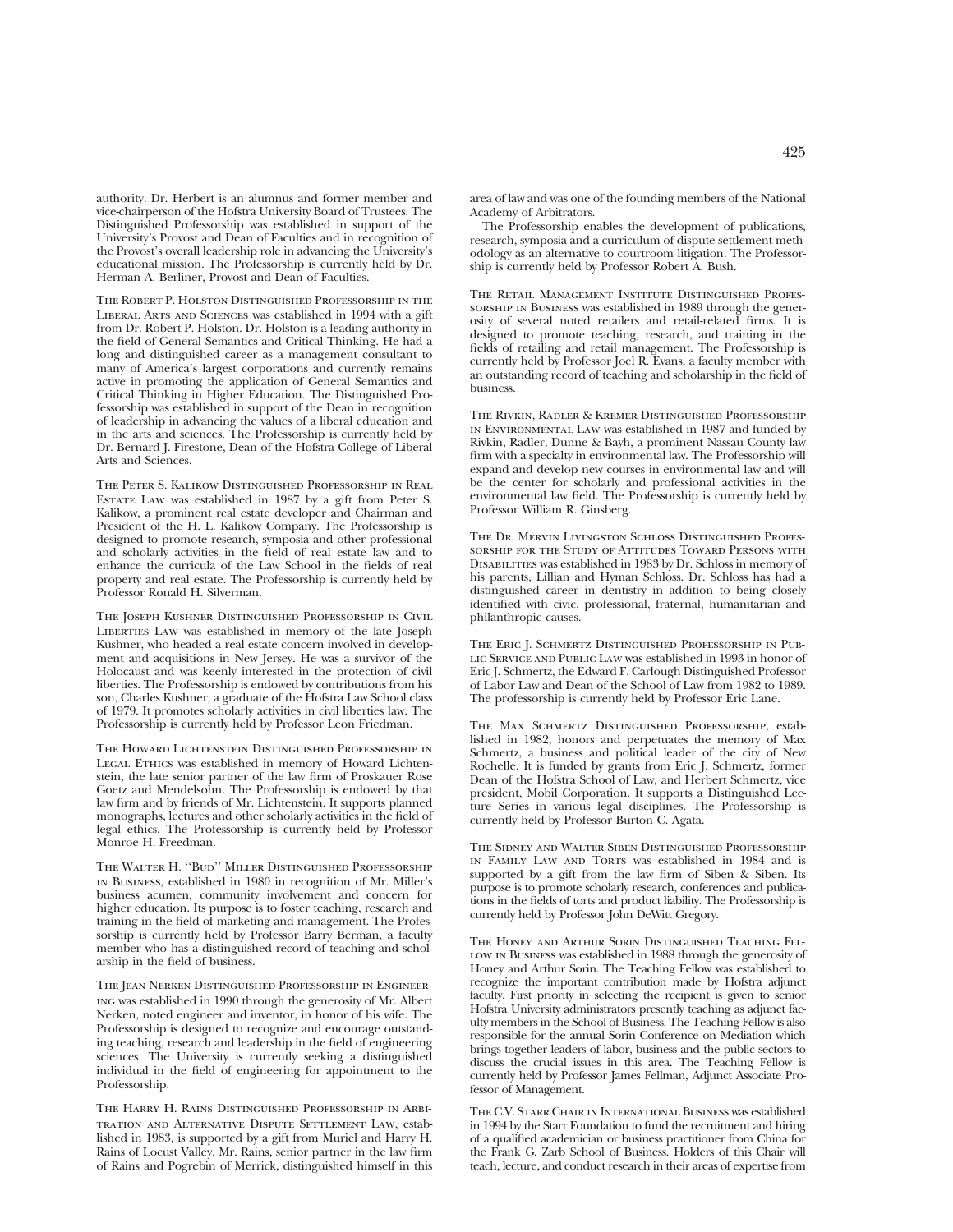authority. Dr. Herbert is an alumnus and former member and vice-chairperson of the Hofstra University Board of Trustees. The Distinguished Professorship was established in support of the University's Provost and Dean of Faculties and in recognition of the Provost's overall leadership role in advancing the University's educational mission. The Professorship is currently held by Dr. Herman A. Berliner, Provost and Dean of Faculties.

The Robert P. Holston Distinguished Professorship in the Liberal Arts and Sciences was established in 1994 with a gift from Dr. Robert P. Holston. Dr. Holston is a leading authority in the field of General Semantics and Critical Thinking. He had a long and distinguished career as a management consultant to many of America's largest corporations and currently remains active in promoting the application of General Semantics and Critical Thinking in Higher Education. The Distinguished Professorship was established in support of the Dean in recognition of leadership in advancing the values of a liberal education and in the arts and sciences. The Professorship is currently held by Dr. Bernard J. Firestone, Dean of the Hofstra College of Liberal Arts and Sciences.

The Peter S. Kalikow Distinguished Professorship in Real Estate Law was established in 1987 by a gift from Peter S. Kalikow, a prominent real estate developer and Chairman and President of the H. L. Kalikow Company. The Professorship is designed to promote research, symposia and other professional and scholarly activities in the field of real estate law and to enhance the curricula of the Law School in the fields of real property and real estate. The Professorship is currently held by Professor Ronald H. Silverman.

The Joseph Kushner Distinguished Professorship in Civil LIBERTIES LAW was established in memory of the late Joseph Kushner, who headed a real estate concern involved in development and acquisitions in New Jersey. He was a survivor of the Holocaust and was keenly interested in the protection of civil liberties. The Professorship is endowed by contributions from his son, Charles Kushner, a graduate of the Hofstra Law School class of 1979. It promotes scholarly activities in civil liberties law. The Professorship is currently held by Professor Leon Friedman.

The Howard Lichtenstein Distinguished Professorship in LEGAL ETHICS was established in memory of Howard Lichtenstein, the late senior partner of the law firm of Proskauer Rose Goetz and Mendelsohn. The Professorship is endowed by that law firm and by friends of Mr. Lichtenstein. It supports planned monographs, lectures and other scholarly activities in the field of legal ethics. The Professorship is currently held by Professor Monroe H. Freedman.

The Walter H. ''Bud'' Miller Distinguished Professorship in Business, established in 1980 in recognition of Mr. Miller's business acumen, community involvement and concern for higher education. Its purpose is to foster teaching, research and training in the field of marketing and management. The Professorship is currently held by Professor Barry Berman, a faculty member who has a distinguished record of teaching and scholarship in the field of business.

THE JEAN NERKEN DISTINGUISHED PROFESSORSHIP IN ENGINEERing was established in 1990 through the generosity of Mr. Albert Nerken, noted engineer and inventor, in honor of his wife. The Professorship is designed to recognize and encourage outstanding teaching, research and leadership in the field of engineering sciences. The University is currently seeking a distinguished individual in the field of engineering for appointment to the Professorship.

The Harry H. Rains Distinguished Professorship in Arbitration and Alternative Dispute Settlement Law, established in 1983, is supported by a gift from Muriel and Harry H. Rains of Locust Valley. Mr. Rains, senior partner in the law firm of Rains and Pogrebin of Merrick, distinguished himself in this

area of law and was one of the founding members of the National Academy of Arbitrators.

The Professorship enables the development of publications, research, symposia and a curriculum of dispute settlement methodology as an alternative to courtroom litigation. The Professorship is currently held by Professor Robert A. Bush.

The Retail Management Institute Distinguished Professorship in Business was established in 1989 through the generosity of several noted retailers and retail-related firms. It is designed to promote teaching, research, and training in the fields of retailing and retail management. The Professorship is currently held by Professor Joel R. Evans, a faculty member with an outstanding record of teaching and scholarship in the field of business.

The Rivkin, Radler & Kremer Distinguished Professorship in Environmental Law was established in 1987 and funded by Rivkin, Radler, Dunne & Bayh, a prominent Nassau County law firm with a specialty in environmental law. The Professorship will expand and develop new courses in environmental law and will be the center for scholarly and professional activities in the environmental law field. The Professorship is currently held by Professor William R. Ginsberg.

The Dr. Mervin Livingston Schloss Distinguished Professorship for the Study of Attitudes Toward Persons with Disabilities was established in 1983 by Dr. Schloss in memory of his parents, Lillian and Hyman Schloss. Dr. Schloss has had a distinguished career in dentistry in addition to being closely identified with civic, professional, fraternal, humanitarian and philanthropic causes.

The Eric J. Schmertz Distinguished Professorship in Public Service and Public Law was established in 1993 in honor of Eric J. Schmertz, the Edward F. Carlough Distinguished Professor of Labor Law and Dean of the School of Law from 1982 to 1989. The professorship is currently held by Professor Eric Lane.

The Max Schmertz Distinguished Professorship, established in 1982, honors and perpetuates the memory of Max Schmertz, a business and political leader of the city of New Rochelle. It is funded by grants from Eric J. Schmertz, former Dean of the Hofstra School of Law, and Herbert Schmertz, vice president, Mobil Corporation. It supports a Distinguished Lecture Series in various legal disciplines. The Professorship is currently held by Professor Burton C. Agata.

The Sidney and Walter Siben Distinguished Professorship IN FAMILY LAW AND TORTS was established in 1984 and is supported by a gift from the law firm of Siben & Siben. Its purpose is to promote scholarly research, conferences and publications in the fields of torts and product liability. The Professorship is currently held by Professor John DeWitt Gregory.

The Honey and Arthur Sorin Distinguished Teaching Fel-LOW IN BUSINESS was established in 1988 through the generosity of Honey and Arthur Sorin. The Teaching Fellow was established to recognize the important contribution made by Hofstra adjunct faculty. First priority in selecting the recipient is given to senior Hofstra University administrators presently teaching as adjunct faculty members in the School of Business. The Teaching Fellow is also responsible for the annual Sorin Conference on Mediation which brings together leaders of labor, business and the public sectors to discuss the crucial issues in this area. The Teaching Fellow is currently held by Professor James Fellman, Adjunct Associate Professor of Management.

The C.V. Starr Chair in International Business was established in 1994 by the Starr Foundation to fund the recruitment and hiring of a qualified academician or business practitioner from China for the Frank G. Zarb School of Business. Holders of this Chair will teach, lecture, and conduct research in their areas of expertise from